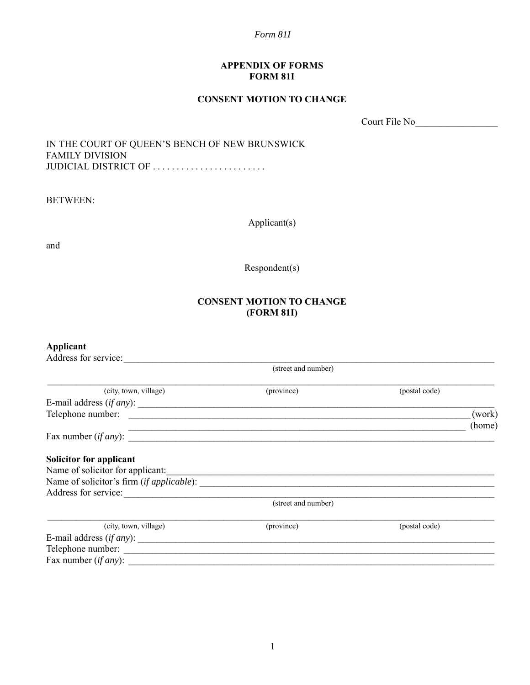### **APPENDIX OF FORMS FORM 81I**

### **CONSENT MOTION TO CHANGE**

Court File No\_\_\_\_\_\_\_\_\_\_\_\_\_\_\_\_\_

IN THE COURT OF QUEEN'S BENCH OF NEW BRUNSWICK FAMILY DIVISION JUDICIAL DISTRICT OF ........................

BETWEEN:

Applicant(s)

and

Respondent(s)

## **CONSENT MOTION TO CHANGE (FORM 81I)**

# **Applicant**

| Address for service:             |                     |               |        |  |  |
|----------------------------------|---------------------|---------------|--------|--|--|
|                                  | (street and number) |               |        |  |  |
| (city, town, village)            | (province)          | (postal code) |        |  |  |
|                                  |                     |               |        |  |  |
| Telephone number:                |                     |               | (work) |  |  |
|                                  |                     |               | (home) |  |  |
| Fax number $(if any)$ :          |                     |               |        |  |  |
| Solicitor for applicant          |                     |               |        |  |  |
| Name of solicitor for applicant: |                     |               |        |  |  |
|                                  |                     |               |        |  |  |
| Address for service:             |                     |               |        |  |  |
|                                  | (street and number) |               |        |  |  |
| (city, town, village)            | (province)          | (postal code) |        |  |  |
| E-mail address $(if any)$ :      |                     |               |        |  |  |
| Telephone number:                |                     |               |        |  |  |
| Fax number $(if any)$ :          |                     |               |        |  |  |
|                                  |                     |               |        |  |  |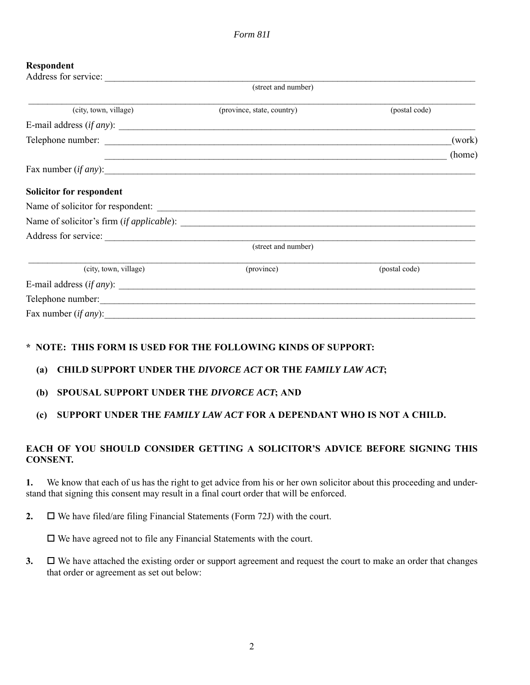## **Respondent**

|                                                                                                                                                                                                                               | (street and number)        |               |        |  |  |
|-------------------------------------------------------------------------------------------------------------------------------------------------------------------------------------------------------------------------------|----------------------------|---------------|--------|--|--|
| (city, town, village)                                                                                                                                                                                                         | (province, state, country) | (postal code) |        |  |  |
| E-mail address $(if any)$ :                                                                                                                                                                                                   |                            |               |        |  |  |
|                                                                                                                                                                                                                               |                            |               | (work) |  |  |
|                                                                                                                                                                                                                               |                            |               | (home) |  |  |
| Fax number $(if any)$ :                                                                                                                                                                                                       |                            |               |        |  |  |
| Solicitor for respondent                                                                                                                                                                                                      |                            |               |        |  |  |
|                                                                                                                                                                                                                               |                            |               |        |  |  |
|                                                                                                                                                                                                                               |                            |               |        |  |  |
| Address for service:                                                                                                                                                                                                          |                            |               |        |  |  |
|                                                                                                                                                                                                                               | (street and number)        |               |        |  |  |
| (city, town, village)                                                                                                                                                                                                         | (province)                 | (postal code) |        |  |  |
| E-mail address $(if any)$ :                                                                                                                                                                                                   |                            |               |        |  |  |
| Telephone number: experience and the contract of the contract of the contract of the contract of the contract of the contract of the contract of the contract of the contract of the contract of the contract of the contract |                            |               |        |  |  |
| Fax number $(if any)$ :                                                                                                                                                                                                       |                            |               |        |  |  |
|                                                                                                                                                                                                                               |                            |               |        |  |  |

# **\* NOTE: THIS FORM IS USED FOR THE FOLLOWING KINDS OF SUPPORT:**

# **(a) CHILD SUPPORT UNDER THE** *DIVORCE ACT* **OR THE** *FAMILY LAW ACT***;**

**(b) SPOUSAL SUPPORT UNDER THE** *DIVORCE ACT***; AND**

# **(c) SUPPORT UNDER THE** *FAMILY LAW ACT* **FOR A DEPENDANT WHO IS NOT A CHILD.**

# **EACH OF YOU SHOULD CONSIDER GETTING A SOLICITOR'S ADVICE BEFORE SIGNING THIS CONSENT.**

**1.** We know that each of us has the right to get advice from his or her own solicitor about this proceeding and understand that signing this consent may result in a final court order that will be enforced.

**2.** □ We have filed/are filing Financial Statements (Form 72J) with the court.

 $\Box$  We have agreed not to file any Financial Statements with the court.

**3.** □ We have attached the existing order or support agreement and request the court to make an order that changes that order or agreement as set out below: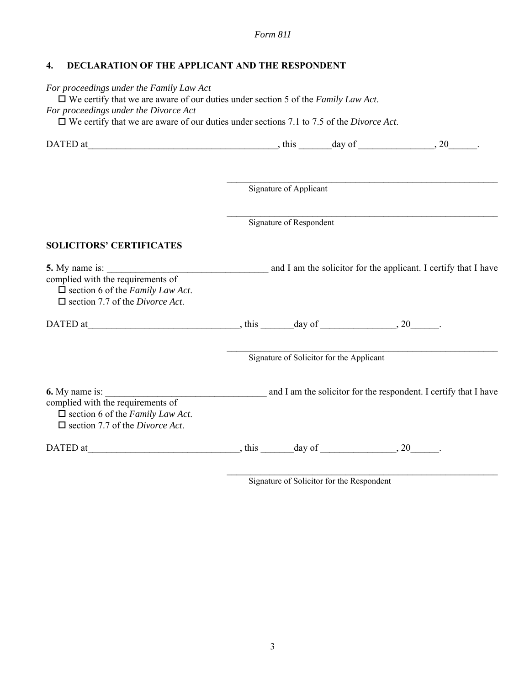# **4. DECLARATION OF THE APPLICANT AND THE RESPONDENT**

| For proceedings under the Family Law Act<br>$\Box$ We certify that we are aware of our duties under section 5 of the Family Law Act.<br>For proceedings under the Divorce Act<br>$\Box$ We certify that we are aware of our duties under sections 7.1 to 7.5 of the Divorce Act. |                         |                                          |                                                                  |
|----------------------------------------------------------------------------------------------------------------------------------------------------------------------------------------------------------------------------------------------------------------------------------|-------------------------|------------------------------------------|------------------------------------------------------------------|
|                                                                                                                                                                                                                                                                                  |                         |                                          |                                                                  |
|                                                                                                                                                                                                                                                                                  | Signature of Applicant  |                                          |                                                                  |
|                                                                                                                                                                                                                                                                                  | Signature of Respondent |                                          |                                                                  |
| <b>SOLICITORS' CERTIFICATES</b>                                                                                                                                                                                                                                                  |                         |                                          |                                                                  |
| 5. My name is: complied with the requirements of<br>$\Box$ section 6 of the Family Law Act.<br>$\Box$ section 7.7 of the <i>Divorce Act</i> .                                                                                                                                    |                         |                                          | and I am the solicitor for the applicant. I certify that I have  |
|                                                                                                                                                                                                                                                                                  |                         |                                          |                                                                  |
|                                                                                                                                                                                                                                                                                  |                         | Signature of Solicitor for the Applicant |                                                                  |
| 6. My name is: $\frac{1}{2}$<br>complied with the requirements of<br>$\Box$ section 6 of the Family Law Act.<br>$\Box$ section 7.7 of the <i>Divorce Act</i> .                                                                                                                   |                         |                                          | and I am the solicitor for the respondent. I certify that I have |
|                                                                                                                                                                                                                                                                                  |                         |                                          |                                                                  |

Signature of Solicitor for the Respondent

 $\mathcal{L}_\text{max}$  and the contract of the contract of the contract of the contract of the contract of the contract of the contract of the contract of the contract of the contract of the contract of the contract of the contrac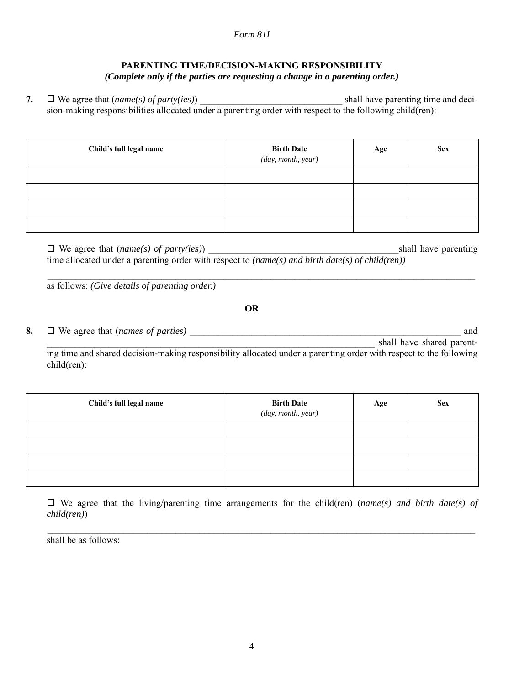#### **PARENTING TIME/DECISION-MAKING RESPONSIBILITY** *(Complete only if the parties are requesting a change in a parenting order.)*

**7.**  $\Box$  We agree that (*name(s) of party(ies)*)  $\Box$  shall have parenting time and decision-making responsibilities allocated under a parenting order with respect to the following child(ren):

| Child's full legal name | <b>Birth Date</b><br>(day, month, year) | Age | <b>Sex</b> |
|-------------------------|-----------------------------------------|-----|------------|
|                         |                                         |     |            |
|                         |                                         |     |            |
|                         |                                         |     |            |
|                         |                                         |     |            |

 $\Box$  We agree that (*name(s) of party(ies)*) shall have parenting time allocated under a parenting order with respect to *(name(s) and birth date(s) of child(ren))*

 $\mathcal{L}_\mathcal{L} = \{ \mathcal{L}_\mathcal{L} = \{ \mathcal{L}_\mathcal{L} = \{ \mathcal{L}_\mathcal{L} = \{ \mathcal{L}_\mathcal{L} = \{ \mathcal{L}_\mathcal{L} = \{ \mathcal{L}_\mathcal{L} = \{ \mathcal{L}_\mathcal{L} = \{ \mathcal{L}_\mathcal{L} = \{ \mathcal{L}_\mathcal{L} = \{ \mathcal{L}_\mathcal{L} = \{ \mathcal{L}_\mathcal{L} = \{ \mathcal{L}_\mathcal{L} = \{ \mathcal{L}_\mathcal{L} = \{ \mathcal{L}_\mathcal{$ 

as follows: *(Give details of parenting order.)*

**OR**

**8.**  $\Box$  We agree that (*names of parties*) and  $\text{shall have shared parent}$ 

ing time and shared decision-making responsibility allocated under a parenting order with respect to the following child(ren):

| Child's full legal name | <b>Birth Date</b><br>(day, month, year) | Age | <b>Sex</b> |
|-------------------------|-----------------------------------------|-----|------------|
|                         |                                         |     |            |
|                         |                                         |     |            |
|                         |                                         |     |            |
|                         |                                         |     |            |

 $\Box$  We agree that the living/parenting time arrangements for the child(ren) (*name(s)* and birth date(s) of *child(ren)*)

 $\_$ 

shall be as follows: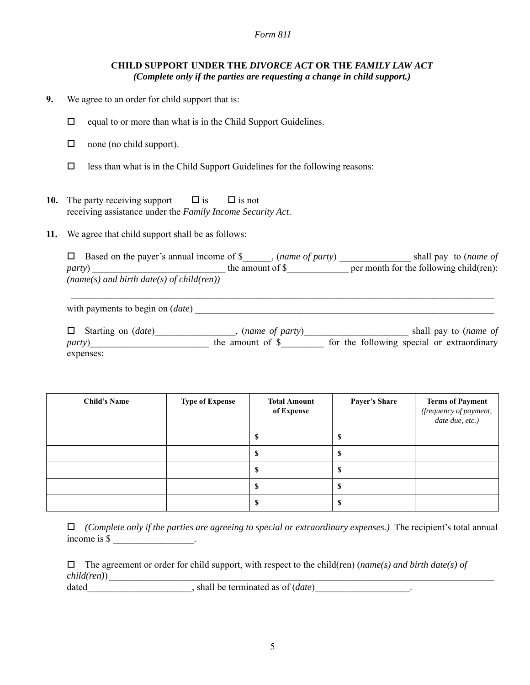### **CHILD SUPPORT UNDER THE** *DIVORCE ACT* **OR THE** *FAMILY LAW ACT (Complete only if the parties are requesting a change in child support.)*

- **9.** We agree to an order for child support that is:
	- $\Box$  equal to or more than what is in the Child Support Guidelines.
	- $\Box$  none (no child support).
	- $\Box$  less than what is in the Child Support Guidelines for the following reasons:
- **10.** The party receiving support  $\Box$  is  $\Box$  is not receiving assistance under the *Family Income Security Act*.
- **11.** We agree that child support shall be as follows:

|                | $\Box$ Based on the payer's annual income of \$ | (name of party) | shall pay to ( <i>name of</i>           |
|----------------|-------------------------------------------------|-----------------|-----------------------------------------|
| <i>party</i> ) |                                                 | the amount of S | per month for the following child(ren): |
|                | $(name(s)$ and birth date(s) of child(ren))     |                 |                                         |

\_\_\_\_\_\_\_\_\_\_\_\_\_\_\_\_\_\_\_\_\_\_\_\_\_\_\_\_\_\_\_\_\_\_\_\_\_\_\_\_\_\_\_\_\_\_\_\_\_\_\_\_\_\_\_\_\_\_\_\_\_\_\_\_\_\_\_\_\_\_\_\_\_\_\_\_\_\_\_\_\_\_\_\_\_\_\_\_\_

with payments to begin on (*date*)

| $\Box$ Starting on ( <i>date</i> ) | (name of party) | shall pay to ( <i>name of</i>              |
|------------------------------------|-----------------|--------------------------------------------|
| <i>party</i> )                     | the amount of S | for the following special or extraordinary |
| expenses:                          |                 |                                            |

| <b>Child's Name</b> | <b>Type of Expense</b> | <b>Total Amount</b><br>of Expense | <b>Payer's Share</b> | <b>Terms of Payment</b><br>(frequency of payment,<br>date due, etc.) |
|---------------------|------------------------|-----------------------------------|----------------------|----------------------------------------------------------------------|
|                     |                        | ۰D                                | ٠T.                  |                                                                      |
|                     |                        |                                   | u.                   |                                                                      |
|                     |                        | ۰D                                | \$                   |                                                                      |
|                     |                        | D                                 | \$                   |                                                                      |
|                     |                        | ۰D                                | D                    |                                                                      |

 *(Complete only if the parties are agreeing to special or extraordinary expenses.)* The recipient's total annual income is \$ \_\_\_\_\_\_\_\_\_\_\_\_\_\_\_\_\_.

 The agreement or order for child support, with respect to the child(ren) (*name(s) and birth date(s) of child(ren)*)

dated shows a shall be terminated as of (*date*).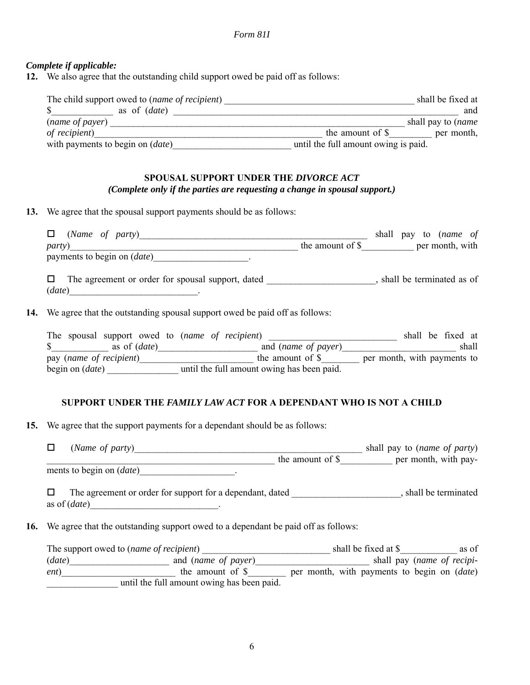## *Complete if applicable:*

**12.** We also agree that the outstanding child support owed be paid off as follows:

| The child support owed to ( <i>name of recipient</i> ) | shall be fixed at                    |
|--------------------------------------------------------|--------------------------------------|
| as of <i>(date)</i>                                    | and                                  |
| (name of payer)                                        | shall pay to ( <i>name</i>           |
| <i>of recipient</i> )                                  | the amount of \$<br>per month,       |
| with payments to begin on (date)                       | until the full amount owing is paid. |

### **SPOUSAL SUPPORT UNDER THE** *DIVORCE ACT (Complete only if the parties are requesting a change in spousal support.)*

**13.** We agree that the spousal support payments should be as follows:

| (Name of party)<br><i>party</i> )                                                                 | the amount of $\$ | shall pay to (name of<br>per month, with |
|---------------------------------------------------------------------------------------------------|-------------------|------------------------------------------|
| payments to begin on <i>(date)</i><br>The agreement or order for spousal support, dated<br>(date) |                   | shall be terminated as of                |

**14.** We agree that the outstanding spousal support owed be paid off as follows:

| The spousal support owed to ( <i>name of recipient</i> ) |                                            | shall be fixed at           |
|----------------------------------------------------------|--------------------------------------------|-----------------------------|
| as of <i>(date)</i>                                      | and ( <i>name of payer</i> )               | shall                       |
| pay (name of recipient)                                  | the amount of S                            | per month, with payments to |
| begin on <i>(date)</i>                                   | until the full amount owing has been paid. |                             |

### **SUPPORT UNDER THE** *FAMILY LAW ACT* **FOR A DEPENDANT WHO IS NOT A CHILD**

**15.** We agree that the support payments for a dependant should be as follows:

| (Name of party)                 |                 | shall pay to ( <i>name of party</i> ) |
|---------------------------------|-----------------|---------------------------------------|
|                                 | the amount of S | per month, with pay-                  |
| ments to begin on <i>(date)</i> |                 |                                       |

 The agreement or order for support for a dependant, dated \_\_\_\_\_\_\_\_\_\_\_\_\_\_\_\_\_\_\_\_\_\_\_, shall be terminated as of (*date*)\_\_\_\_\_\_\_\_\_\_\_\_\_\_\_\_\_\_\_\_\_\_\_\_\_\_\_.

**16.** We agree that the outstanding support owed to a dependant be paid off as follows:

| The support owed to ( <i>name of recipient</i> ) |                                            | shall be fixed at \$                               | as of |
|--------------------------------------------------|--------------------------------------------|----------------------------------------------------|-------|
| (data)                                           | and ( <i>name of payer</i> )               | shall pay (name of recipi-                         |       |
| ent)                                             | the amount of S                            | per month, with payments to begin on <i>(date)</i> |       |
|                                                  | until the full amount owing has been paid. |                                                    |       |